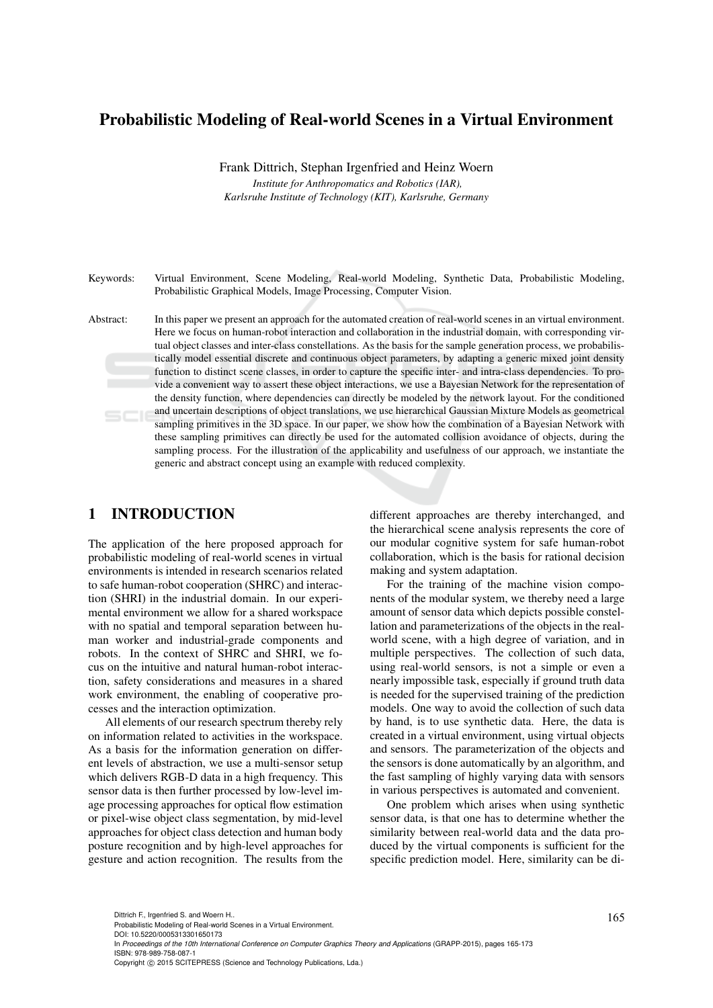# Probabilistic Modeling of Real-world Scenes in a Virtual Environment

Frank Dittrich, Stephan Irgenfried and Heinz Woern *Institute for Anthropomatics and Robotics (IAR), Karlsruhe Institute of Technology (KIT), Karlsruhe, Germany*

Keywords: Virtual Environment, Scene Modeling, Real-world Modeling, Synthetic Data, Probabilistic Modeling, Probabilistic Graphical Models, Image Processing, Computer Vision.

> these sampling primitives can directly be used for the automated collision avoidance of objects, during the sampling process. For the illustration of the applicability and usefulness of our approach, we instantiate the

Abstract: In this paper we present an approach for the automated creation of real-world scenes in an virtual environment. Here we focus on human-robot interaction and collaboration in the industrial domain, with corresponding virtual object classes and inter-class constellations. As the basis for the sample generation process, we probabilistically model essential discrete and continuous object parameters, by adapting a generic mixed joint density function to distinct scene classes, in order to capture the specific inter- and intra-class dependencies. To provide a convenient way to assert these object interactions, we use a Bayesian Network for the representation of the density function, where dependencies can directly be modeled by the network layout. For the conditioned and uncertain descriptions of object translations, we use hierarchical Gaussian Mixture Models as geometrical sampling primitives in the 3D space. In our paper, we show how the combination of a Bayesian Network with

generic and abstract concept using an example with reduced complexity.

1 INTRODUCTION

The application of the here proposed approach for probabilistic modeling of real-world scenes in virtual environments is intended in research scenarios related to safe human-robot cooperation (SHRC) and interaction (SHRI) in the industrial domain. In our experimental environment we allow for a shared workspace with no spatial and temporal separation between human worker and industrial-grade components and robots. In the context of SHRC and SHRI, we focus on the intuitive and natural human-robot interaction, safety considerations and measures in a shared work environment, the enabling of cooperative processes and the interaction optimization.

All elements of our research spectrum thereby rely on information related to activities in the workspace. As a basis for the information generation on different levels of abstraction, we use a multi-sensor setup which delivers RGB-D data in a high frequency. This sensor data is then further processed by low-level image processing approaches for optical flow estimation or pixel-wise object class segmentation, by mid-level approaches for object class detection and human body posture recognition and by high-level approaches for gesture and action recognition. The results from the different approaches are thereby interchanged, and the hierarchical scene analysis represents the core of our modular cognitive system for safe human-robot collaboration, which is the basis for rational decision making and system adaptation.

For the training of the machine vision components of the modular system, we thereby need a large amount of sensor data which depicts possible constellation and parameterizations of the objects in the realworld scene, with a high degree of variation, and in multiple perspectives. The collection of such data, using real-world sensors, is not a simple or even a nearly impossible task, especially if ground truth data is needed for the supervised training of the prediction models. One way to avoid the collection of such data by hand, is to use synthetic data. Here, the data is created in a virtual environment, using virtual objects and sensors. The parameterization of the objects and the sensors is done automatically by an algorithm, and the fast sampling of highly varying data with sensors in various perspectives is automated and convenient.

One problem which arises when using synthetic sensor data, is that one has to determine whether the similarity between real-world data and the data produced by the virtual components is sufficient for the specific prediction model. Here, similarity can be di-

DOI: 10.5220/0005313301650173

In *Proceedings of the 10th International Conference on Computer Graphics Theory and Applications* (GRAPP-2015), pages 165-173 ISBN: 978-989-758-087-1

Dittrich F., Irgenfried S. and Woern H..<br>Probabilistic Modeling of Real-world Scenes in a Virtual Environment.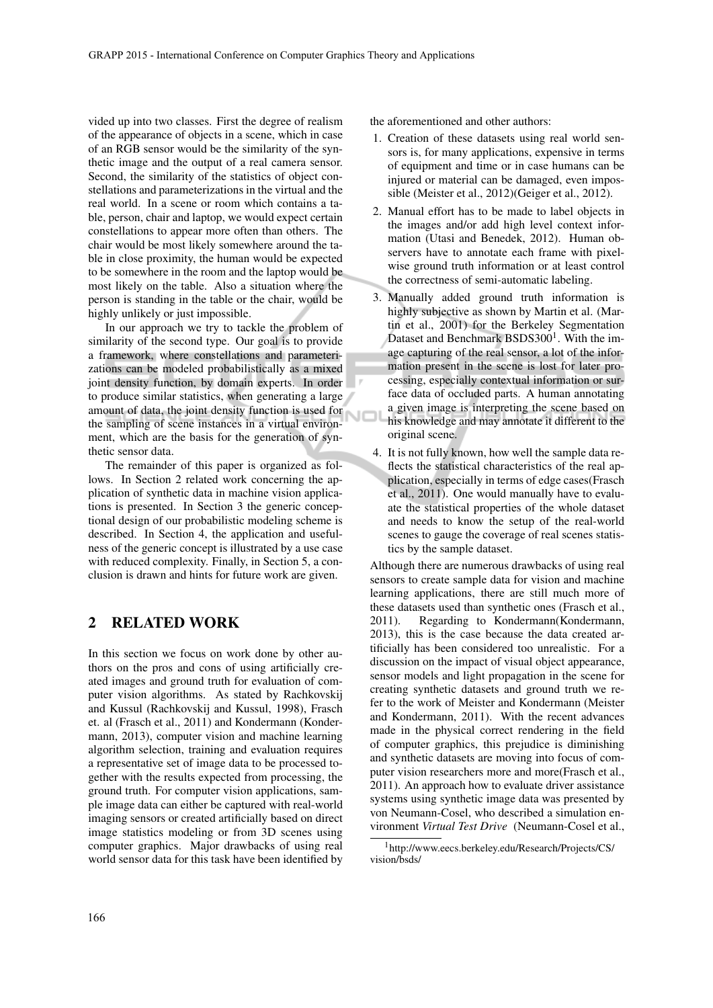vided up into two classes. First the degree of realism of the appearance of objects in a scene, which in case of an RGB sensor would be the similarity of the synthetic image and the output of a real camera sensor. Second, the similarity of the statistics of object constellations and parameterizations in the virtual and the real world. In a scene or room which contains a table, person, chair and laptop, we would expect certain constellations to appear more often than others. The chair would be most likely somewhere around the table in close proximity, the human would be expected to be somewhere in the room and the laptop would be most likely on the table. Also a situation where the person is standing in the table or the chair, would be highly unlikely or just impossible.

In our approach we try to tackle the problem of similarity of the second type. Our goal is to provide a framework, where constellations and parameterizations can be modeled probabilistically as a mixed joint density function, by domain experts. In order to produce similar statistics, when generating a large amount of data, the joint density function is used for the sampling of scene instances in a virtual environment, which are the basis for the generation of synthetic sensor data.

The remainder of this paper is organized as follows. In Section 2 related work concerning the application of synthetic data in machine vision applications is presented. In Section 3 the generic conceptional design of our probabilistic modeling scheme is described. In Section 4, the application and usefulness of the generic concept is illustrated by a use case with reduced complexity. Finally, in Section 5, a conclusion is drawn and hints for future work are given.

## 2 RELATED WORK

In this section we focus on work done by other authors on the pros and cons of using artificially created images and ground truth for evaluation of computer vision algorithms. As stated by Rachkovskij and Kussul (Rachkovskij and Kussul, 1998), Frasch et. al (Frasch et al., 2011) and Kondermann (Kondermann, 2013), computer vision and machine learning algorithm selection, training and evaluation requires a representative set of image data to be processed together with the results expected from processing, the ground truth. For computer vision applications, sample image data can either be captured with real-world imaging sensors or created artificially based on direct image statistics modeling or from 3D scenes using computer graphics. Major drawbacks of using real world sensor data for this task have been identified by the aforementioned and other authors:

- 1. Creation of these datasets using real world sensors is, for many applications, expensive in terms of equipment and time or in case humans can be injured or material can be damaged, even impossible (Meister et al., 2012)(Geiger et al., 2012).
- 2. Manual effort has to be made to label objects in the images and/or add high level context information (Utasi and Benedek, 2012). Human observers have to annotate each frame with pixelwise ground truth information or at least control the correctness of semi-automatic labeling.
- 3. Manually added ground truth information is highly subjective as shown by Martin et al. (Martin et al., 2001) for the Berkeley Segmentation Dataset and Benchmark BSDS300<sup>1</sup>. With the image capturing of the real sensor, a lot of the information present in the scene is lost for later processing, especially contextual information or surface data of occluded parts. A human annotating a given image is interpreting the scene based on NOI his knowledge and may annotate it different to the original scene.
	- 4. It is not fully known, how well the sample data reflects the statistical characteristics of the real application, especially in terms of edge cases(Frasch et al., 2011). One would manually have to evaluate the statistical properties of the whole dataset and needs to know the setup of the real-world scenes to gauge the coverage of real scenes statistics by the sample dataset.

Although there are numerous drawbacks of using real sensors to create sample data for vision and machine learning applications, there are still much more of these datasets used than synthetic ones (Frasch et al., 2011). Regarding to Kondermann(Kondermann, 2013), this is the case because the data created artificially has been considered too unrealistic. For a discussion on the impact of visual object appearance, sensor models and light propagation in the scene for creating synthetic datasets and ground truth we refer to the work of Meister and Kondermann (Meister and Kondermann, 2011). With the recent advances made in the physical correct rendering in the field of computer graphics, this prejudice is diminishing and synthetic datasets are moving into focus of computer vision researchers more and more(Frasch et al., 2011). An approach how to evaluate driver assistance systems using synthetic image data was presented by von Neumann-Cosel, who described a simulation environment *Virtual Test Drive* (Neumann-Cosel et al.,

<sup>1</sup>http://www.eecs.berkeley.edu/Research/Projects/CS/ vision/bsds/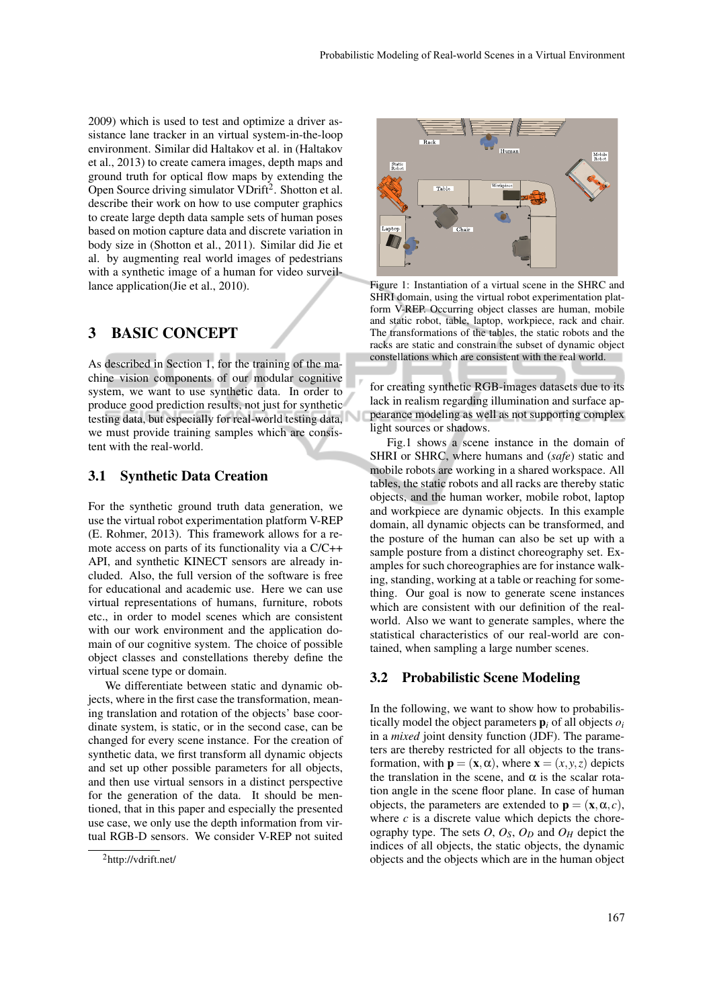2009) which is used to test and optimize a driver assistance lane tracker in an virtual system-in-the-loop environment. Similar did Haltakov et al. in (Haltakov et al., 2013) to create camera images, depth maps and ground truth for optical flow maps by extending the Open Source driving simulator VDrift<sup>2</sup>. Shotton et al. describe their work on how to use computer graphics to create large depth data sample sets of human poses based on motion capture data and discrete variation in body size in (Shotton et al., 2011). Similar did Jie et al. by augmenting real world images of pedestrians with a synthetic image of a human for video surveillance application(Jie et al., 2010).

# 3 BASIC CONCEPT

As described in Section 1, for the training of the machine vision components of our modular cognitive system, we want to use synthetic data. In order to produce good prediction results, not just for synthetic testing data, but especially for real-world testing data, we must provide training samples which are consistent with the real-world.

### 3.1 Synthetic Data Creation

For the synthetic ground truth data generation, we use the virtual robot experimentation platform V-REP (E. Rohmer, 2013). This framework allows for a remote access on parts of its functionality via a C/C++ API, and synthetic KINECT sensors are already included. Also, the full version of the software is free for educational and academic use. Here we can use virtual representations of humans, furniture, robots etc., in order to model scenes which are consistent with our work environment and the application domain of our cognitive system. The choice of possible object classes and constellations thereby define the virtual scene type or domain.

We differentiate between static and dynamic objects, where in the first case the transformation, meaning translation and rotation of the objects' base coordinate system, is static, or in the second case, can be changed for every scene instance. For the creation of synthetic data, we first transform all dynamic objects and set up other possible parameters for all objects, and then use virtual sensors in a distinct perspective for the generation of the data. It should be mentioned, that in this paper and especially the presented use case, we only use the depth information from virtual RGB-D sensors. We consider V-REP not suited



Figure 1: Instantiation of a virtual scene in the SHRC and SHRI domain, using the virtual robot experimentation platform V-REP. Occurring object classes are human, mobile and static robot, table, laptop, workpiece, rack and chair. The transformations of the tables, the static robots and the racks are static and constrain the subset of dynamic object constellations which are consistent with the real world.

for creating synthetic RGB-images datasets due to its lack in realism regarding illumination and surface appearance modeling as well as not supporting complex light sources or shadows.

Fig.1 shows a scene instance in the domain of SHRI or SHRC, where humans and (*safe*) static and mobile robots are working in a shared workspace. All tables, the static robots and all racks are thereby static objects, and the human worker, mobile robot, laptop and workpiece are dynamic objects. In this example domain, all dynamic objects can be transformed, and the posture of the human can also be set up with a sample posture from a distinct choreography set. Examples for such choreographies are for instance walking, standing, working at a table or reaching for something. Our goal is now to generate scene instances which are consistent with our definition of the realworld. Also we want to generate samples, where the statistical characteristics of our real-world are contained, when sampling a large number scenes.

### 3.2 Probabilistic Scene Modeling

In the following, we want to show how to probabilistically model the object parameters  $\mathbf{p}_i$  of all objects  $o_i$ in a *mixed* joint density function (JDF). The parameters are thereby restricted for all objects to the transformation, with  $\mathbf{p} = (\mathbf{x}, \alpha)$ , where  $\mathbf{x} = (x, y, z)$  depicts the translation in the scene, and  $\alpha$  is the scalar rotation angle in the scene floor plane. In case of human objects, the parameters are extended to  $\mathbf{p} = (\mathbf{x}, \alpha, c)$ , where  $c$  is a discrete value which depicts the choreography type. The sets  $O$ ,  $O_s$ ,  $O_D$  and  $O_H$  depict the indices of all objects, the static objects, the dynamic objects and the objects which are in the human object

<sup>2</sup>http://vdrift.net/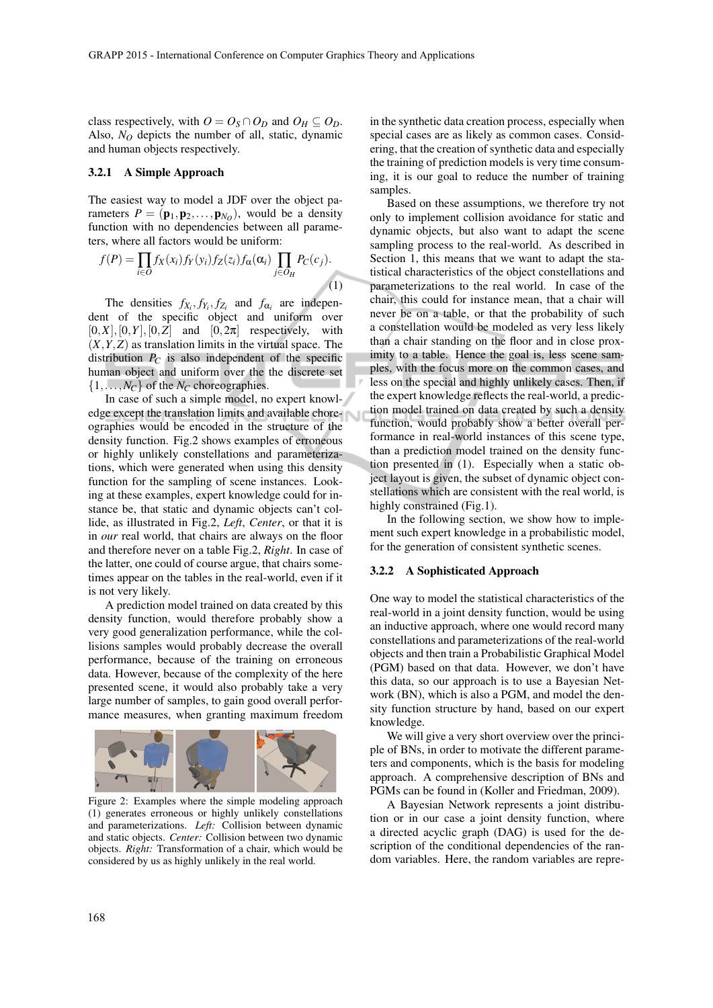class respectively, with  $O = O_S \cap O_D$  and  $O_H \subseteq O_D$ . Also, *N<sup>O</sup>* depicts the number of all, static, dynamic and human objects respectively.

#### 3.2.1 A Simple Approach

The easiest way to model a JDF over the object parameters  $P = (\mathbf{p}_1, \mathbf{p}_2, \dots, \mathbf{p}_{N_O})$ , would be a density function with no dependencies between all parameters, where all factors would be uniform:

$$
f(P) = \prod_{i \in O} f_X(x_i) f_Y(y_i) f_Z(z_i) f_{\alpha}(\alpha_i) \prod_{j \in O_H} P_C(c_j).
$$
\n(1)

The densities  $f_{X_i}, f_{Y_i}, f_{Z_i}$  and  $f_{\alpha_i}$  are independent of the specific object and uniform over  $[0,X], [0,Y], [0,Z]$  and  $[0,2\pi]$  respectively, with  $(X, Y, Z)$  as translation limits in the virtual space. The distribution  $P_C$  is also independent of the specific human object and uniform over the the discrete set  $\{1, \ldots, N_C\}$  of the *N<sub>C</sub>* choreographies.

In case of such a simple model, no expert knowledge except the translation limits and available choreographies would be encoded in the structure of the density function. Fig.2 shows examples of erroneous or highly unlikely constellations and parameterizations, which were generated when using this density function for the sampling of scene instances. Looking at these examples, expert knowledge could for instance be, that static and dynamic objects can't collide, as illustrated in Fig.2, *Left*, *Center*, or that it is in *our* real world, that chairs are always on the floor and therefore never on a table Fig.2, *Right*. In case of the latter, one could of course argue, that chairs sometimes appear on the tables in the real-world, even if it is not very likely.

A prediction model trained on data created by this density function, would therefore probably show a very good generalization performance, while the collisions samples would probably decrease the overall performance, because of the training on erroneous data. However, because of the complexity of the here presented scene, it would also probably take a very large number of samples, to gain good overall performance measures, when granting maximum freedom



Figure 2: Examples where the simple modeling approach (1) generates erroneous or highly unlikely constellations and parameterizations. *Left:* Collision between dynamic and static objects. *Center:* Collision between two dynamic objects. *Right:* Transformation of a chair, which would be considered by us as highly unlikely in the real world.

in the synthetic data creation process, especially when special cases are as likely as common cases. Considering, that the creation of synthetic data and especially the training of prediction models is very time consuming, it is our goal to reduce the number of training samples.

Based on these assumptions, we therefore try not only to implement collision avoidance for static and dynamic objects, but also want to adapt the scene sampling process to the real-world. As described in Section 1, this means that we want to adapt the statistical characteristics of the object constellations and parameterizations to the real world. In case of the chair, this could for instance mean, that a chair will never be on a table, or that the probability of such a constellation would be modeled as very less likely than a chair standing on the floor and in close proximity to a table. Hence the goal is, less scene samples, with the focus more on the common cases, and less on the special and highly unlikely cases. Then, if the expert knowledge reflects the real-world, a prediction model trained on data created by such a density function, would probably show a better overall performance in real-world instances of this scene type, than a prediction model trained on the density function presented in (1). Especially when a static object layout is given, the subset of dynamic object constellations which are consistent with the real world, is highly constrained (Fig.1).

In the following section, we show how to implement such expert knowledge in a probabilistic model, for the generation of consistent synthetic scenes.

#### 3.2.2 A Sophisticated Approach

One way to model the statistical characteristics of the real-world in a joint density function, would be using an inductive approach, where one would record many constellations and parameterizations of the real-world objects and then train a Probabilistic Graphical Model (PGM) based on that data. However, we don't have this data, so our approach is to use a Bayesian Network (BN), which is also a PGM, and model the density function structure by hand, based on our expert knowledge.

We will give a very short overview over the principle of BNs, in order to motivate the different parameters and components, which is the basis for modeling approach. A comprehensive description of BNs and PGMs can be found in (Koller and Friedman, 2009).

A Bayesian Network represents a joint distribution or in our case a joint density function, where a directed acyclic graph (DAG) is used for the description of the conditional dependencies of the random variables. Here, the random variables are repre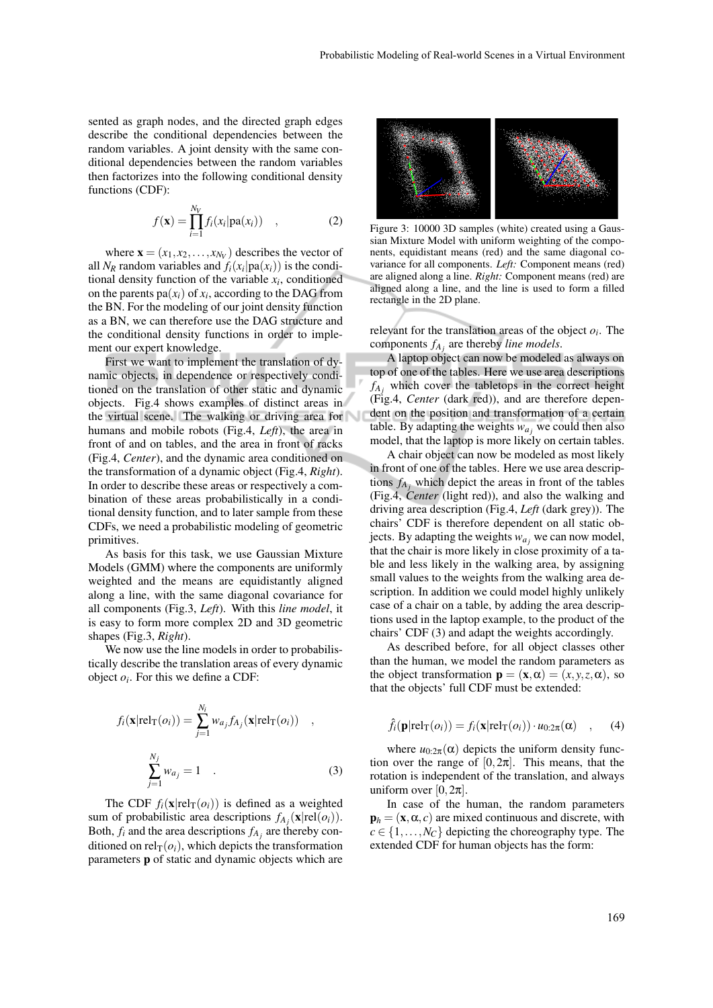sented as graph nodes, and the directed graph edges describe the conditional dependencies between the random variables. A joint density with the same conditional dependencies between the random variables then factorizes into the following conditional density functions (CDF):

$$
f(\mathbf{x}) = \prod_{i=1}^{N_V} f_i(x_i | pa(x_i)) \quad , \tag{2}
$$

where  $\mathbf{x} = (x_1, x_2, \dots, x_{N_V})$  describes the vector of all *N<sub>R</sub>* random variables and  $f_i(x_i|pa(x_i))$  is the conditional density function of the variable  $x_i$ , conditioned on the parents  $pa(x_i)$  of  $x_i$ , according to the DAG from the BN. For the modeling of our joint density function as a BN, we can therefore use the DAG structure and the conditional density functions in order to implement our expert knowledge.

First we want to implement the translation of dynamic objects, in dependence or respectively conditioned on the translation of other static and dynamic objects. Fig.4 shows examples of distinct areas in the virtual scene. The walking or driving area for humans and mobile robots (Fig.4, *Left*), the area in front of and on tables, and the area in front of racks (Fig.4, *Center*), and the dynamic area conditioned on the transformation of a dynamic object (Fig.4, *Right*). In order to describe these areas or respectively a combination of these areas probabilistically in a conditional density function, and to later sample from these CDFs, we need a probabilistic modeling of geometric primitives.

As basis for this task, we use Gaussian Mixture Models (GMM) where the components are uniformly weighted and the means are equidistantly aligned along a line, with the same diagonal covariance for all components (Fig.3, *Left*). With this *line model*, it is easy to form more complex 2D and 3D geometric shapes (Fig.3, *Right*).

We now use the line models in order to probabilistically describe the translation areas of every dynamic object  $o_i$ . For this we define a CDF:

$$
f_i(\mathbf{x}|\text{rel}_{\text{T}}(o_i)) = \sum_{j=1}^{N_i} w_{a_j} f_{A_j}(\mathbf{x}|\text{rel}_{\text{T}}(o_i)) ,
$$
  

$$
\sum_{j=1}^{N_j} w_{a_j} = 1 .
$$
 (3)

The CDF  $f_i(\mathbf{x}|\text{rel}_T(o_i))$  is defined as a weighted sum of probabilistic area descriptions  $f_{A_j}(\mathbf{x}|\text{rel}(o_i))$ . Both,  $f_i$  and the area descriptions  $f_{A_j}$  are thereby conditioned on rel<sub>T</sub> $(o_i)$ , which depicts the transformation parameters p of static and dynamic objects which are



Figure 3: 10000 3D samples (white) created using a Gaussian Mixture Model with uniform weighting of the components, equidistant means (red) and the same diagonal covariance for all components. *Left:* Component means (red) are aligned along a line. *Right:* Component means (red) are aligned along a line, and the line is used to form a filled rectangle in the 2D plane.

relevant for the translation areas of the object *o<sup>i</sup>* . The components *fA<sup>j</sup>* are thereby *line models*.

A laptop object can now be modeled as always on top of one of the tables. Here we use area descriptions  $f_{A_i}$  which cover the tabletops in the correct height (Fig.4, *Center* (dark red)), and are therefore dependent on the position and transformation of a certain table. By adapting the weights  $w_a$ <sup>*j*</sup> we could then also model, that the laptop is more likely on certain tables.

A chair object can now be modeled as most likely in front of one of the tables. Here we use area descriptions  $f_{A_i}$  which depict the areas in front of the tables (Fig.4, *Center* (light red)), and also the walking and driving area description (Fig.4, *Left* (dark grey)). The chairs' CDF is therefore dependent on all static objects. By adapting the weights  $w_{a_i}$  we can now model, that the chair is more likely in close proximity of a table and less likely in the walking area, by assigning small values to the weights from the walking area description. In addition we could model highly unlikely case of a chair on a table, by adding the area descriptions used in the laptop example, to the product of the chairs' CDF (3) and adapt the weights accordingly.

As described before, for all object classes other than the human, we model the random parameters as the object transformation  $\mathbf{p} = (\mathbf{x}, \alpha) = (x, y, z, \alpha)$ , so that the objects' full CDF must be extended:

$$
\hat{f}_i(\mathbf{p}|\text{rel}_T(o_i)) = f_i(\mathbf{x}|\text{rel}_T(o_i)) \cdot u_{0:2\pi}(\alpha) \quad , \quad (4)
$$

where  $u_{0:2\pi}(\alpha)$  depicts the uniform density function over the range of  $[0,2\pi]$ . This means, that the rotation is independent of the translation, and always uniform over  $[0,2\pi]$ .

In case of the human, the random parameters  $\mathbf{p}_h = (\mathbf{x}, \alpha, c)$  are mixed continuous and discrete, with  $c \in \{1, \ldots, N_C\}$  depicting the choreography type. The extended CDF for human objects has the form: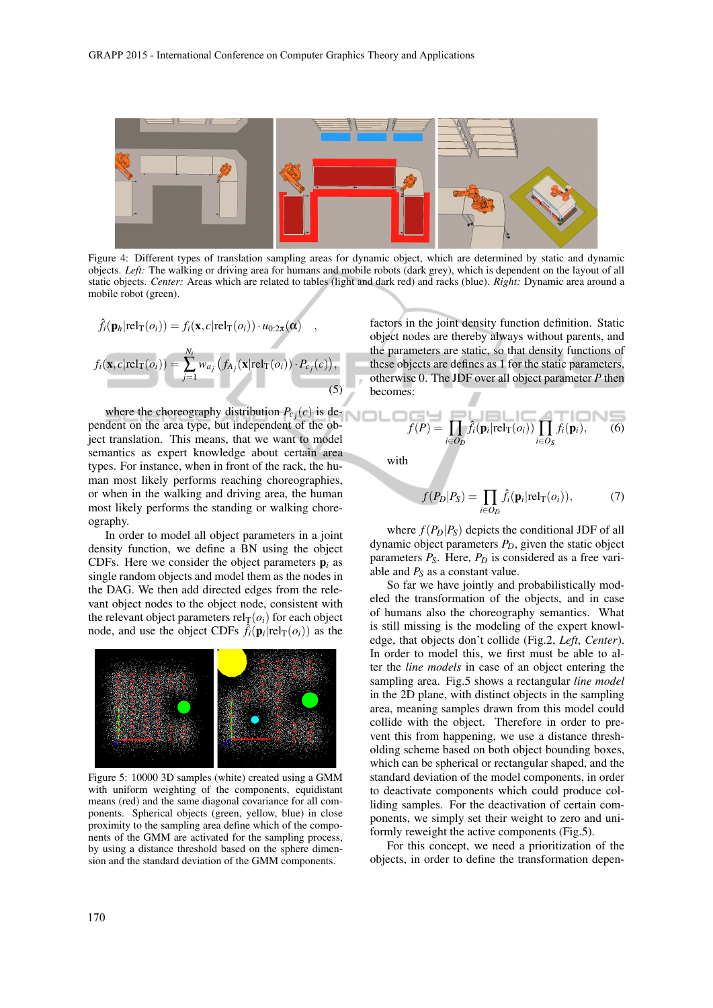

Figure 4: Different types of translation sampling areas for dynamic object, which are determined by static and dynamic objects. *Left:* The walking or driving area for humans and mobile robots (dark grey), which is dependent on the layout of all static objects. *Center:* Areas which are related to tables (light and dark red) and racks (blue). *Right:* Dynamic area around a mobile robot (green).

$$
\hat{f}_i(\mathbf{p}_h|\text{rel}_{\mathbf{T}}(o_i)) = f_i(\mathbf{x}, c|\text{rel}_{\mathbf{T}}(o_i)) \cdot u_{0:2\pi}(\alpha) ,
$$
\n
$$
f_i(\mathbf{x}, c|\text{rel}_{\mathbf{T}}(o_i)) = \sum_{j=1}^{N_i} w_{a_j} (f_{A_j}(\mathbf{x}|\text{rel}_{\mathbf{T}}(o_i)) \cdot P_{c_j}(c)),
$$
\n(5)

where the choreography distribution  $P_{c_j}(c)$  is dependent on the area type, but independent of the object translation. This means, that we want to model semantics as expert knowledge about certain area types. For instance, when in front of the rack, the human most likely performs reaching choreographies, or when in the walking and driving area, the human most likely performs the standing or walking choreography.

In order to model all object parameters in a joint density function, we define a BN using the object CDFs. Here we consider the object parameters  $p_i$  as single random objects and model them as the nodes in the DAG. We then add directed edges from the relevant object nodes to the object node, consistent with the relevant object parameters  $rel_T(o_i)$  for each object node, and use the object CDFs  $\hat{f}_i(\mathbf{p}_i|\text{rel}_T(o_i))$  as the



Figure 5: 10000 3D samples (white) created using a GMM with uniform weighting of the components, equidistant means (red) and the same diagonal covariance for all components. Spherical objects (green, yellow, blue) in close proximity to the sampling area define which of the components of the GMM are activated for the sampling process, by using a distance threshold based on the sphere dimension and the standard deviation of the GMM components.

factors in the joint density function definition. Static object nodes are thereby always without parents, and the parameters are static, so that density functions of these objects are defines as 1 for the static parameters, otherwise 0. The JDF over all object parameter *P* then becomes:

$$
f(P) = \prod_{i \in O_D} \hat{f}_i(\mathbf{p}_i | \text{rel}_{\mathbf{T}}(o_i)) \prod_{i \in O_S} f_i(\mathbf{p}_i),
$$
 (6)

with

$$
f(P_D|P_S) = \prod_{i \in O_D} \hat{f}_i(\mathbf{p}_i | \text{rel}_{\text{T}}(o_i)),\tag{7}
$$

where  $f(P_D|P_S)$  depicts the conditional JDF of all dynamic object parameters  $P_D$ , given the static object parameters  $P_S$ . Here,  $P_D$  is considered as a free variable and *P<sup>S</sup>* as a constant value.

So far we have jointly and probabilistically modeled the transformation of the objects, and in case of humans also the choreography semantics. What is still missing is the modeling of the expert knowledge, that objects don't collide (Fig.2, *Left*, *Center*). In order to model this, we first must be able to alter the *line models* in case of an object entering the sampling area. Fig.5 shows a rectangular *line model* in the 2D plane, with distinct objects in the sampling area, meaning samples drawn from this model could collide with the object. Therefore in order to prevent this from happening, we use a distance thresholding scheme based on both object bounding boxes, which can be spherical or rectangular shaped, and the standard deviation of the model components, in order to deactivate components which could produce colliding samples. For the deactivation of certain components, we simply set their weight to zero and uniformly reweight the active components (Fig.5).

For this concept, we need a prioritization of the objects, in order to define the transformation depen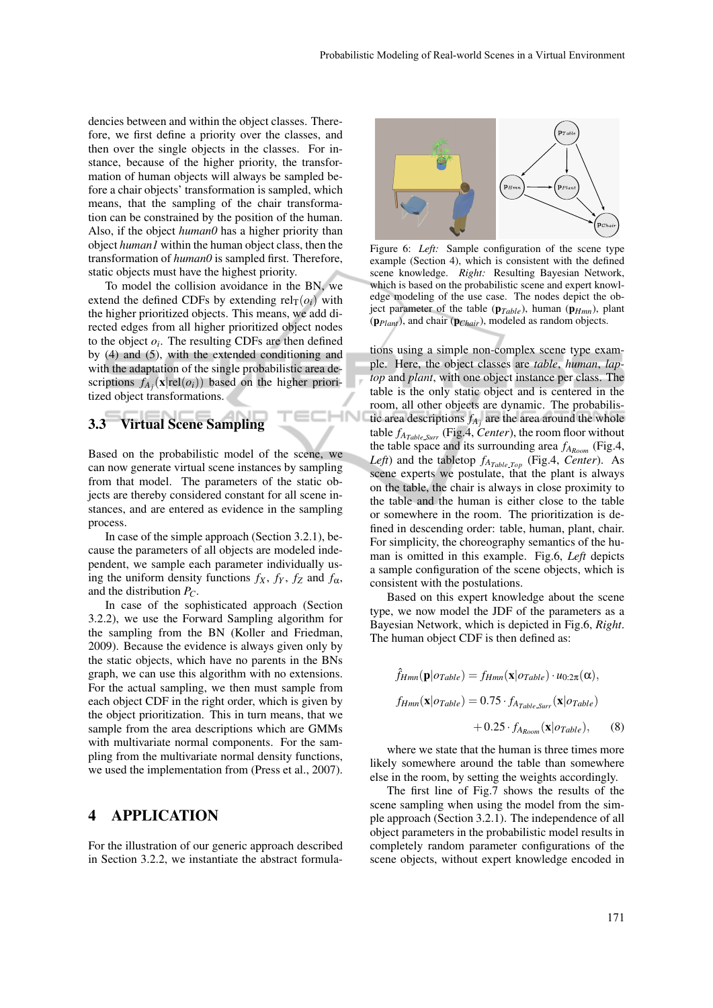dencies between and within the object classes. Therefore, we first define a priority over the classes, and then over the single objects in the classes. For instance, because of the higher priority, the transformation of human objects will always be sampled before a chair objects' transformation is sampled, which means, that the sampling of the chair transformation can be constrained by the position of the human. Also, if the object *human0* has a higher priority than object *human1* within the human object class, then the transformation of *human0* is sampled first. Therefore, static objects must have the highest priority.

To model the collision avoidance in the BN, we extend the defined CDFs by extending  $rel_T(o_i)$  with the higher prioritized objects. This means, we add directed edges from all higher prioritized object nodes to the object  $o_i$ . The resulting CDFs are then defined by (4) and (5), with the extended conditioning and with the adaptation of the single probabilistic area descriptions  $f_{A_j}(\mathbf{x}|\text{rel}(o_i))$  based on the higher prioritized object transformations.

**IHN** 

## 3.3 Virtual Scene Sampling

Based on the probabilistic model of the scene, we can now generate virtual scene instances by sampling from that model. The parameters of the static objects are thereby considered constant for all scene instances, and are entered as evidence in the sampling process.

In case of the simple approach (Section 3.2.1), because the parameters of all objects are modeled independent, we sample each parameter individually using the uniform density functions  $f_X$ ,  $f_Y$ ,  $f_Z$  and  $f_{\alpha}$ , and the distribution *PC*.

In case of the sophisticated approach (Section 3.2.2), we use the Forward Sampling algorithm for the sampling from the BN (Koller and Friedman, 2009). Because the evidence is always given only by the static objects, which have no parents in the BNs graph, we can use this algorithm with no extensions. For the actual sampling, we then must sample from each object CDF in the right order, which is given by the object prioritization. This in turn means, that we sample from the area descriptions which are GMMs with multivariate normal components. For the sampling from the multivariate normal density functions, we used the implementation from (Press et al., 2007).

### 4 APPLICATION

For the illustration of our generic approach described in Section 3.2.2, we instantiate the abstract formula-



Figure 6: *Left:* Sample configuration of the scene type example (Section 4), which is consistent with the defined scene knowledge. *Right:* Resulting Bayesian Network, which is based on the probabilistic scene and expert knowledge modeling of the use case. The nodes depict the object parameter of the table  $(p_{Table})$ , human  $(p_{Hmn})$ , plant (p*Plant*), and chair (p*Chair*), modeled as random objects.

tions using a simple non-complex scene type example. Here, the object classes are *table*, *human*, *laptop* and *plant*, with one object instance per class. The table is the only static object and is centered in the room, all other objects are dynamic. The probabilistic area descriptions  $f_{A_j}$  are the area around the whole table  $f_{A_{Table\,Surr}}$  (Fig.4, *Center*), the room floor without the table space and its surrounding area  $f_{A_{Room}}$  (Fig.4, *Left*) and the tabletop *fATable Top* (Fig.4, *Center*). As scene experts we postulate, that the plant is always on the table, the chair is always in close proximity to the table and the human is either close to the table or somewhere in the room. The prioritization is defined in descending order: table, human, plant, chair. For simplicity, the choreography semantics of the human is omitted in this example. Fig.6, *Left* depicts a sample configuration of the scene objects, which is consistent with the postulations.

Based on this expert knowledge about the scene type, we now model the JDF of the parameters as a Bayesian Network, which is depicted in Fig.6, *Right*. The human object CDF is then defined as:

$$
\hat{f}_{Hmn}(\mathbf{p}|o_{Table}) = f_{Hmn}(\mathbf{x}|o_{Table}) \cdot u_{0:2\pi}(\alpha),
$$
\n
$$
f_{Hmn}(\mathbf{x}|o_{Table}) = 0.75 \cdot f_{A_{TableSurr}}(\mathbf{x}|o_{Table}) + 0.25 \cdot f_{A_{Romp}}(\mathbf{x}|o_{Table}), \qquad (8)
$$

where we state that the human is three times more likely somewhere around the table than somewhere else in the room, by setting the weights accordingly.

The first line of Fig.7 shows the results of the scene sampling when using the model from the simple approach (Section 3.2.1). The independence of all object parameters in the probabilistic model results in completely random parameter configurations of the scene objects, without expert knowledge encoded in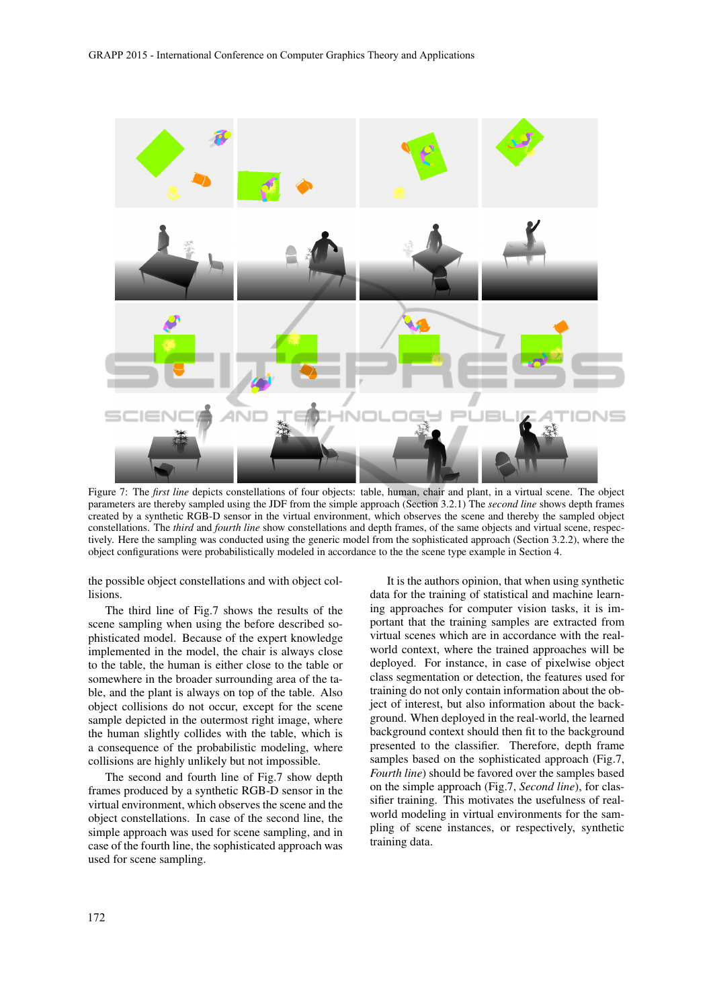

Figure 7: The *first line* depicts constellations of four objects: table, human, chair and plant, in a virtual scene. The object parameters are thereby sampled using the JDF from the simple approach (Section 3.2.1) The *second line* shows depth frames created by a synthetic RGB-D sensor in the virtual environment, which observes the scene and thereby the sampled object constellations. The *third* and *fourth line* show constellations and depth frames, of the same objects and virtual scene, respectively. Here the sampling was conducted using the generic model from the sophisticated approach (Section 3.2.2), where the object configurations were probabilistically modeled in accordance to the the scene type example in Section 4.

the possible object constellations and with object collisions.

The third line of Fig.7 shows the results of the scene sampling when using the before described sophisticated model. Because of the expert knowledge implemented in the model, the chair is always close to the table, the human is either close to the table or somewhere in the broader surrounding area of the table, and the plant is always on top of the table. Also object collisions do not occur, except for the scene sample depicted in the outermost right image, where the human slightly collides with the table, which is a consequence of the probabilistic modeling, where collisions are highly unlikely but not impossible.

The second and fourth line of Fig.7 show depth frames produced by a synthetic RGB-D sensor in the virtual environment, which observes the scene and the object constellations. In case of the second line, the simple approach was used for scene sampling, and in case of the fourth line, the sophisticated approach was used for scene sampling.

It is the authors opinion, that when using synthetic data for the training of statistical and machine learning approaches for computer vision tasks, it is important that the training samples are extracted from virtual scenes which are in accordance with the realworld context, where the trained approaches will be deployed. For instance, in case of pixelwise object class segmentation or detection, the features used for training do not only contain information about the object of interest, but also information about the background. When deployed in the real-world, the learned background context should then fit to the background presented to the classifier. Therefore, depth frame samples based on the sophisticated approach (Fig.7, *Fourth line*) should be favored over the samples based on the simple approach (Fig.7, *Second line*), for classifier training. This motivates the usefulness of realworld modeling in virtual environments for the sampling of scene instances, or respectively, synthetic training data.